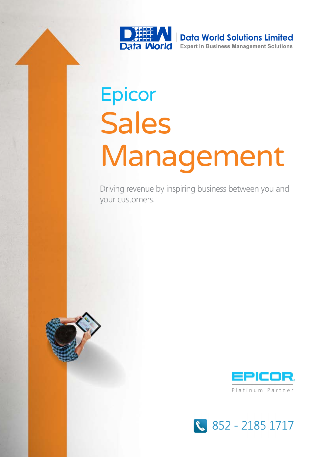

# Epicor Sales Management

Driving revenue by inspiring business between you and your customers.





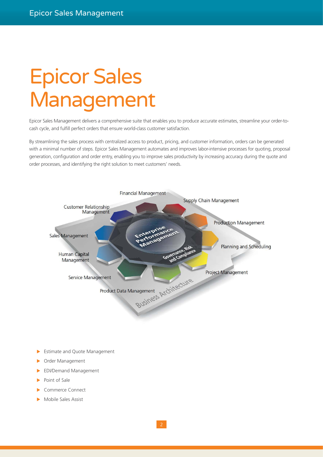## Epicor Sales Management

Epicor Sales Management delivers a comprehensive suite that enables you to produce accurate estimates, streamline your order-tocash cycle, and fulfill perfect orders that ensure world-class customer satisfaction.

By streamlining the sales process with centralized access to product, pricing, and customer information, orders can be generated with a minimal number of steps. Epicor Sales Management automates and improves labor-intensive processes for quoting, proposal generation, configuration and order entry, enabling you to improve sales productivity by increasing accuracy during the quote and order processes, and identifying the right solution to meet customers' needs.



- Estimate and Quote Management
- Order Management
- EDI/Demand Management
- Point of Sale
- Commerce Connect
- Mobile Sales Assist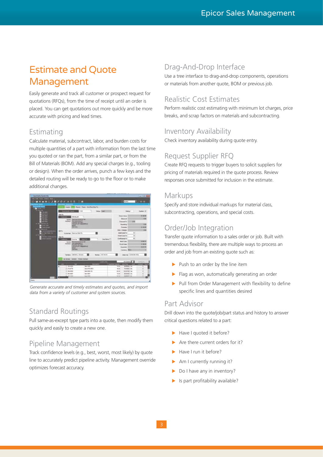### Estimate and Quote Management

Easily generate and track all customer or prospect request for quotations (RFQs), from the time of receipt until an order is placed. You can get quotations out more quickly and be more accurate with pricing and lead times.

### **Estimating**

Calculate material, subcontract, labor, and burden costs for multiple quantities of a part with information from the last time you quoted or ran the part, from a similar part, or from the Bill of Materials (BOM). Add any special charges (e.g., tooling or design). When the order arrives, punch a few keys and the detailed routing will be ready to go to the floor or to make additional changes.



*Generate accurate and timely estimates and quotes, and import data from a variety of customer and system sources.*

### Standard Routings

Pull same-as-except type parts into a quote, then modify them quickly and easily to create a new one.

### Pipeline Management

Track confidence levels (e.g., best, worst, most likely) by quote line to accurately predict pipeline activity. Management override optimizes forecast accuracy.

### Drag-And-Drop Interface

Use a tree interface to drag-and-drop components, operations or materials from another quote, BOM or previous job.

### Realistic Cost Estimates

Perform realistic cost estimating with minimum lot charges, price breaks, and scrap factors on materials and subcontracting.

### Inventory Availability

Check inventory availability during quote entry.

### Request Supplier RFQ

Create RFQ requests to trigger buyers to solicit suppliers for pricing of materials required in the quote process. Review responses once submitted for inclusion in the estimate.

### Markups

Specify and store individual markups for material class, subcontracting, operations, and special costs.

### Order/Job Integration

Transfer quote information to a sales order or job. Built with tremendous flexibility, there are multiple ways to process an order and job from an existing quote such as:

- $\blacktriangleright$  Push to an order by the line item
- Flag as won, automatically generating an order
- $\blacktriangleright$  Pull from Order Management with flexibility to define specific lines and quantities desired

#### Part Advisor

Drill down into the quote/job/part status and history to answer critical questions related to a part:

- $\blacktriangleright$  Have I quoted it before?
- Are there current orders for it?
- Have I run it before?
- $\blacktriangleright$  Am I currently running it?
- Do I have any in inventory?
- $\blacktriangleright$  Is part profitability available?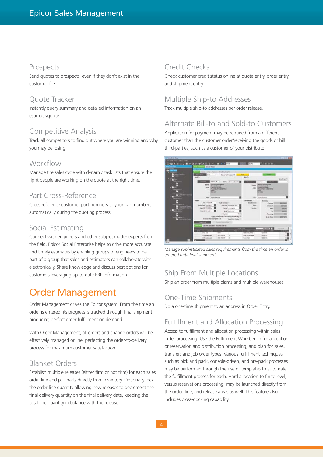#### Prospects

Send quotes to prospects, even if they don't exist in the customer file.

#### Quote Tracker

Instantly query summary and detailed information on an estimate/quote.

### Competitive Analysis

Track all competitors to find out where you are winning and why you may be losing.

#### Workflow

Manage the sales cycle with dynamic task lists that ensure the right people are working on the quote at the right time.

### Part Cross-Reference

Cross-reference customer part numbers to your part numbers automatically during the quoting process.

### Social Estimating

Connect with engineers and other subject matter experts from the field. Epicor Social Enterprise helps to drive more accurate and timely estimates by enabling groups of engineers to be part of a group that sales and estimators can collaborate with electronically. Share knowledge and discuss best options for customers leveraging up-to-date ERP information.

### Order Management

Order Management drives the Epicor system. From the time an order is entered, its progress is tracked through final shipment, producing perfect order fulfillment on demand.

With Order Management, all orders and change orders will be effectively managed online, perfecting the order-to-delivery process for maximum customer satisfaction.

### Blanket Orders

Establish multiple releases (either firm or not firm) for each sales order line and pull parts directly from inventory. Optionally lock the order line quantity allowing new releases to decrement the final delivery quantity on the final delivery date, keeping the total line quantity in balance with the release.

### Credit Checks

Check customer credit status online at quote entry, order entry, and shipment entry.

### Multiple Ship-to Addresses

Track multiple ship-to addresses per order release.

### Alternate Bill-to and Sold-to Customers

Application for payment may be required from a different customer than the customer order/receiving the goods or bill third-parties, such as a customer of your distributor.



*Manage sophisticated sales requirements from the time an order is entered until final shipment.*

### Ship From Multiple Locations

Ship an order from multiple plants and multiple warehouses.

### One-Time Shipments

Do a one-time shipment to an address in Order Entry.

### Fulfillment and Allocation Processing

Access to fulfillment and allocation processing within sales order processing. Use the Fulfillment Workbench for allocation or reservation and distribution processing, and plan for sales, transfers and job order types. Various fulfillment techniques, such as pick and pack, console-driven, and pre-pack processes may be performed through the use of templates to automate the fulfillment process for each. Hard allocation to finite level, versus reservations processing, may be launched directly from the order, line, and release areas as well. This feature also includes cross-docking capability.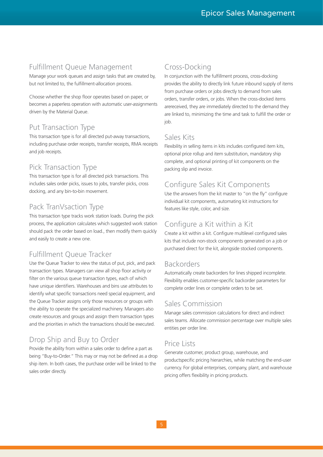### Fulfillment Queue Management

Manage your work queues and assign tasks that are created by, but not limited to, the fulfillment-allocation process.

Choose whether the shop floor operates based on paper, or becomes a paperless operation with automatic user-assignments driven by the Material Queue.

### Put Transaction Type

This transaction type is for all directed put-away transactions, including purchase order receipts, transfer receipts, RMA receipts and job receipts.

### Pick Transaction Type

This transaction type is for all directed pick transactions. This includes sales order picks, issues to jobs, transfer picks, cross docking, and any bin-to-bin movement.

### Pack TranVsaction Type

This transaction type tracks work station loads. During the pick process, the application calculates which suggested work station should pack the order based on load., then modify them quickly and easily to create a new one.

### Fulfillment Queue Tracker

Use the Queue Tracker to view the status of put, pick, and pack transaction types. Managers can view all shop floor activity or filter on the various queue transaction types, each of which have unique identifiers. Warehouses and bins use attributes to identify what specific transactions need special equipment, and the Queue Tracker assigns only those resources or groups with the ability to operate the specialized machinery. Managers also create resources and groups and assign them transaction types and the priorities in which the transactions should be executed.

### Drop Ship and Buy to Order

Provide the ability from within a sales order to define a part as being "Buy-to-Order." This may or may not be defined as a drop ship item. In both cases, the purchase order will be linked to the sales order directly.

### Cross-Docking

In conjunction with the fulfillment process, cross-docking provides the ability to directly link future inbound supply of items from purchase orders or jobs directly to demand from sales orders, transfer orders, or jobs. When the cross-docked items arereceived, they are immediately directed to the demand they are linked to, minimizing the time and task to fulfill the order or job.

### Sales Kits

Flexibility in selling items in kits includes configured item kits, optional price rollup and item substitution, mandatory ship complete, and optional printing of kit components on the packing slip and invoice.

### Configure Sales Kit Components

Use the answers from the kit master to "on the fly" configure individual kit components, automating kit instructions for features like style, color, and size.

### Configure a Kit within a Kit

Create a kit within a kit. Configure multilevel configured sales kits that include non-stock components generated on a job or purchased direct for the kit, alongside stocked components.

### Backorders

Automatically create backorders for lines shipped incomplete. Flexibility enables customer-specific backorder parameters for complete order lines or complete orders to be set.

### Sales Commission

Manage sales commission calculations for direct and indirect sales teams. Allocate commission percentage over multiple sales entities per order line.

### Price Lists

Generate customer, product group, warehouse, and productspecific pricing hierarchies, while matching the end-user currency. For global enterprises, company, plant, and warehouse pricing offers flexibility in pricing products.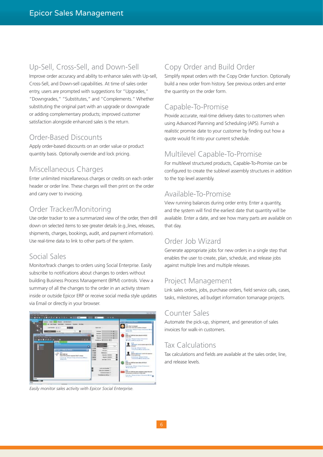### Up-Sell, Cross-Sell, and Down-Sell

Improve order accuracy and ability to enhance sales with Up-sell, Cross-Sell, and Down-sell capabilities. At time of sales order entry, users are prompted with suggestions for "Upgrades," "Downgrades," "Substitutes," and "Complements." Whether substituting the original part with an upgrade or downgrade or adding complementary products; improved customer satisfaction alongside enhanced sales is the return.

### Order-Based Discounts

Apply order-based discounts on an order value or product quantity basis. Optionally override and lock pricing.

### Miscellaneous Charges

Enter unlimited miscellaneous charges or credits on each order header or order line. These charges will then print on the order and carry over to invoicing.

### Order Tracker/Monitoring

Use order tracker to see a summarized view of the order, then drill down on selected items to see greater details (e.g.,lines, releases, shipments, charges, bookings, audit, and payment information). Use real-time data to link to other parts of the system.

### Social Sales

Monitor/track changes to orders using Social Enterprise. Easily subscribe to notifications about changes to orders without building Business Process Management (BPM) controls. View a summary of all the changes to the order in an activity stream inside or outside Epicor ERP or receive social media style updates via Email or directly in your browser.



*Easily monitor sales activity with Epicor Social Enterprise.*

### Copy Order and Build Order

Simplify repeat orders with the Copy Order function. Optionally build a new order from history. See previous orders and enter the quantity on the order form.

### Capable-To-Promise

Provide accurate, real-time delivery dates to customers when using Advanced Planning and Scheduling (APS). Furnish a realistic promise date to your customer by finding out how a quote would fit into your current schedule.

### Multilevel Capable-To-Promise

For multilevel structured products, Capable-To-Promise can be configured to create the sublevel assembly structures in addition to the top level assembly.

### Available-To-Promise

View running balances during order entry. Enter a quantity, and the system will find the earliest date that quantity will be available. Enter a date, and see how many parts are available on that day.

### Order Job Wizard

Generate appropriate jobs for new orders in a single step that enables the user to create, plan, schedule, and release jobs against multiple lines and multiple releases.

### Project Management

Link sales orders, jobs, purchase orders, field service calls, cases, tasks, milestones, ad budget information tomanage projects.

### Counter Sales

Automate the pick-up, shipment, and generation of sales invoices for walk-in customers.

### Tax Calculations

Tax calculations and fields are available at the sales order, line, and release levels.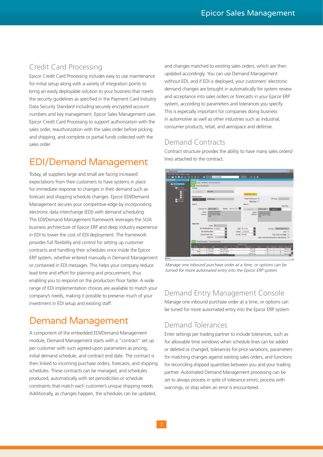### Credit Card Processing

Epicor Credit Card Processing includes easy to use maintenance for initial setup along with a variety of integration points to bring an easily deployable solution to your business that meets the security guidelines as specified in the Payment Card Industry Data Security Standard including securely encrypted account numbers and key management. Epicor Sales Management uses Epicor Credit Card Processing to support authorization with the sales order, reauthorization with the sales order before picking and shipping, and complete or partial funds collected with the sales order.

### EDI/Demand Management

Today, all suppliers large and small are facing increased expectations from their customers to have systems in place for immediate response to changes in their demand such as forecast and shipping schedule changes. Epicor EDI/Demand Management secures your competitive edge by incorporating electronic data interchange (EDI) with demand scheduling. The EDI/Demand Management framework leverages the SOA business architecture of Epicor ERP and deep industry experience in EDI to lower the cost of EDI deployment. The framework provides full flexibility and control for setting up customer contracts and handling their schedules once inside the Epicor ERP system, whether entered manually in Demand Management or contained in EDI messages. This helps your company reduce lead time and effort for planning and procurement, thus enabling you to respond on the production floor faster. A wide range of EDI implementation choices are available to match your company's needs, making it possible to preserve much of your investment in EDI setup and existing staff.

### Demand Management

A component of the embedded EDI/Demand Management module, Demand Management starts with a "contract" set up per customer with such agreed-upon parameters as pricing, initial demand schedule, and contract end date. The contract is then linked to incoming purchase orders, forecasts, and shipping schedules. These contracts can be managed, and schedules produced, automatically with set periodicities or schedule constraints that match each customer's unique shipping needs. Additionally, as changes happen, the schedules can be updated,

and changes matched to existing sales orders, which are then updated accordingly. You can use Demand Management without EDI, and if EDI is deployed, your customers' electronic demand changes are brought in automatically for system review and acceptance into sales orders or forecasts in your Epicor ERP system, according to parameters and tolerances you specify. This is especially important for companies doing business in automotive as well as other industries such as industrial, consumer products, retail, and aerospace and defense.

### Demand Contracts

Contract structure provides the ability to have many sales orders/ lines attached to the contract.



*Manage one inbound purchase order at a time, or options can be turned for more automated entry into the Epicor ERP system.*

### Demand Entry Management Console

Manage one inbound purchase order at a time, or options can be tuned for more automated entry into the Epicor ERP system.

### Demand Tolerances

Enter settings per trading partner to include tolerances, such as for allowable time windows when schedule lines can be added or deleted or changed, tolerances for price variations, parameters for matching changes against existing sales orders, and functions for reconciling shipped quantities between you and your trading partner. Automated Demand Management processing can be set to always process in spite of tolerance errors, process with warnings, or stop when an error is encountered.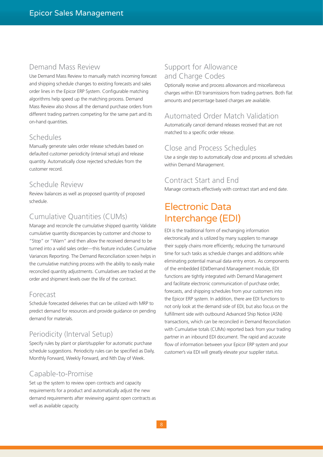### Demand Mass Review

Use Demand Mass Review to manually match incoming forecast and shipping schedule changes to existing forecasts and sales order lines in the Epicor ERP System. Configurable matching algorithms help speed up the matching process. Demand Mass Review also shows all the demand purchase orders from different trading partners competing for the same part and its on-hand quantities.

### Schedules

Manually generate sales order release schedules based on defaulted customer periodicity (interval setup) and release quantity. Automatically close rejected schedules from the customer record.

#### Schedule Review

Review balances as well as proposed quantity of proposed schedule.

### Cumulative Quantities (CUMs)

Manage and reconcile the cumulative shipped quantity. Validate cumulative quantity discrepancies by customer and choose to "Stop" or "Warn" and then allow the received demand to be turned into a valid sales order—this feature includes Cumulative Variances Reporting. The Demand Reconciliation screen helps in the cumulative matching process with the ability to easily make reconciled quantity adjustments. Cumulatives are tracked at the order and shipment levels over the life of the contract.

### Forecast

Schedule forecasted deliveries that can be utilized with MRP to predict demand for resources and provide guidance on pending demand for materials.

### Periodicity (Interval Setup)

Specify rules by plant or plant/supplier for automatic purchase schedule suggestions. Periodicity rules can be specified as Daily, Monthly Forward, Weekly Forward, and Nth Day of Week.

### Capable-to-Promise

Set up the system to review open contracts and capacity requirements for a product and automatically adjust the new demand requirements after reviewing against open contracts as well as available capacity.

### Support for Allowance and Charge Codes

Optionally receive and process allowances and miscellaneous charges within EDI transmissions from trading partners. Both flat amounts and percentage based charges are available.

### Automated Order Match Validation

Automatically cancel demand releases received that are not matched to a specific order release.

### Close and Process Schedules

Use a single step to automatically close and process all schedules within Demand Management.

### Contract Start and End

Manage contracts effectively with contract start and end date.

### Electronic Data Interchange (EDI)

EDI is the traditional form of exchanging information electronically and is utilized by many suppliers to manage their supply chains more efficiently; reducing the turnaround time for such tasks as schedule changes and additions while eliminating potential manual data entry errors. As components of the embedded EDI/Demand Management module, EDI functions are tightly integrated with Demand Management and facilitate electronic communication of purchase order, forecasts, and shipping schedules from your customers into the Epicor ERP system. In addition, there are EDI functions to not only look at the demand side of EDI, but also focus on the fulfillment side with outbound Advanced Ship Notice (ASN) transactions, which can be reconciled in Demand Reconciliation with Cumulative totals (CUMs) reported back from your trading partner in an inbound EDI document. The rapid and accurate flow of information between your Epicor ERP system and your customer's via EDI will greatly elevate your supplier status.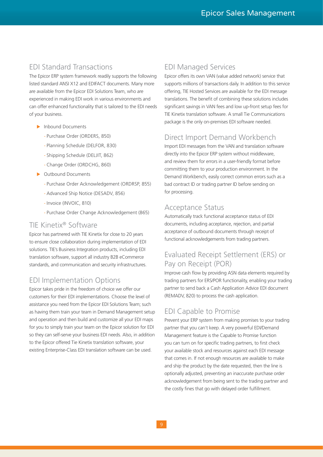### EDI Standard Transactions

The Epicor ERP system framework readily supports the following listed standard ANSI X12 and EDIFACT documents. Many more are available from the Epicor EDI Solutions Team, who are experienced in making EDI work in various environments and can offer enhanced functionality that is tailored to the EDI needs of your business.

- $\blacktriangleright$  Inbound Documents
	- Purchase Order (ORDERS, 850)
	- Planning Schedule (DELFOR, 830)
	- Shipping Schedule (DELJIT, 862)
	- Change Order (ORDCHG, 860)
- **Dutbound Documents** 
	- Purchase Order Acknowledgement (ORDRSP, 855)
	- Advanced Ship Notice (DESADV, 856)
	- Invoice (INVOIC, 810)
	- Purchase Order Change Acknowledgement (865)

### TIE Kinetix® Software

Epicor has partnered with TIE Kinetix for close to 20 years to ensure close collaboration during implementation of EDI solutions. TIE's Business Integration products, including EDI translation software, support all industry B2B eCommerce standards, and communication and security infrastructures.

### EDI Implementation Options

Epicor takes pride in the freedom of choice we offer our customers for their EDI implementations. Choose the level of assistance you need from the Epicor EDI Solutions Team; such as having them train your team in Demand Management setup and operation and then build and customize all your EDI maps for you to simply train your team on the Epicor solution for EDI so they can self-serve your business EDI needs. Also, in addition to the Epicor offered Tie Kinetix translation software, your existing Enterprise-Class EDI translation software can be used.

### EDI Managed Services

Epicor offers its own VAN (value added network) service that supports millions of transactions daily. In addition to this service offering, TIE Hosted Services are available for the EDI message translations. The benefit of combining these solutions includes significant savings in VAN fees and low up-front setup fees for TIE Kinetix translation software. A small Tie Communications package is the only on-premises EDI software needed.

### Direct Import Demand Workbench

Import EDI messages from the VAN and translation software directly into the Epicor ERP system without middleware, and review them for errors in a user-friendly format before committing them to your production environment. In the Demand Workbench, easily correct common errors such as a bad contract ID or trading partner ID before sending on for processing.

### Acceptance Status

Automatically track functional acceptance status of EDI documents, including acceptance, rejection, and partial acceptance of outbound documents through receipt of functional acknowledgements from trading partners.

### Evaluated Receipt Settlement (ERS) or Pay on Receipt (POR)

Improve cash flow by providing ASN data elements required by trading partners for ERS/POR functionality, enabling your trading partner to send back a Cash Application Advice EDI document (REMADV, 820) to process the cash application.

### EDI Capable to Promise

Prevent your ERP system from making promises to your trading partner that you can't keep. A very powerful EDI/Demand Management feature is the Capable to Promise function you can turn on for specific trading partners, to first check your available stock and resources against each EDI message that comes in. If not enough resources are available to make and ship the product by the date requested, then the line is optionally adjusted, preventing an inaccurate purchase order acknowledgement from being sent to the trading partner and the costly fines that go with delayed order fulfillment.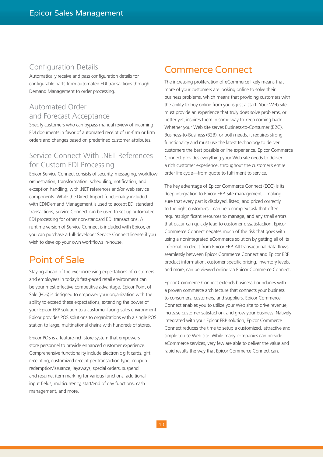### Configuration Details

Automatically receive and pass configuration details for configurable parts from automated EDI transactions through Demand Management to order processing.

### Automated Order and Forecast Acceptance

Specify customers who can bypass manual review of incoming EDI documents in favor of automated receipt of un-firm or firm orders and changes based on predefined customer attributes.

### Service Connect With .NET References for Custom EDI Processing

Epicor Service Connect consists of security, messaging, workflow orchestration, transformation, scheduling, notification, and exception handling, with .NET references and/or web service components. While the Direct Import functionality included with EDI/Demand Management is used to accept EDI standard transactions, Service Connect can be used to set up automated EDI processing for other non-standard EDI transactions. A runtime version of Service Connect is included with Epicor, or you can purchase a full-developer Service Connect license if you wish to develop your own workflows in-house.

### Point of Sale

Staying ahead of the ever increasing expectations of customers and employees in today's fast-paced retail environment can be your most effective competitive advantage. Epicor Point of Sale (POS) is designed to empower your organization with the ability to exceed these expectations, extending the power of your Epicor ERP solution to a customer-facing sales environment. Epicor provides POS solutions to organizations with a single POS station to large, multinational chains with hundreds of stores.

Epicor POS is a feature-rich store system that empowers store personnel to provide enhanced customer experience. Comprehensive functionality include electronic gift cards, gift receipting, customized receipt per transaction type, coupon redemption/issuance, layaways, special orders, suspend and resume, item marking for various functions, additional input fields, multicurrency, start/end of day functions, cash management, and more.

### Commerce Connect

The increasing proliferation of eCommerce likely means that more of your customers are looking online to solve their business problems, which means that providing customers with the ability to buy online from you is just a start. Your Web site must provide an experience that truly does solve problems, or better yet, inspires them in some way to keep coming back. Whether your Web site serves Business-to-Consumer (B2C), Business-to-Business (B2B), or both needs, it requires strong functionality and must use the latest technology to deliver customers the best possible online experience. Epicor Commerce Connect provides everything your Web site needs to deliver a rich customer experience, throughout the customer's entire order life cycle—from quote to fulfilment to service.

The key advantage of Epicor Commerce Connect (ECC) is its deep integration to Epicor ERP. Site management—making sure that every part is displayed, listed, and priced correctly to the right customers—can be a complex task that often requires significant resources to manage, and any small errors that occur can quickly lead to customer dissatisfaction. Epicor Commerce Connect negates much of the risk that goes with using a nonintegrated eCommerce solution by getting all of its information direct from Epicor ERP. All transactional data flows seamlessly between Epicor Commerce Connect and Epicor ERP: product information, customer specific pricing, inventory levels, and more, can be viewed online via Epicor Commerce Connect.

Epicor Commerce Connect extends business boundaries with a proven commerce architecture that connects your business to consumers, customers, and suppliers. Epicor Commerce Connect enables you to utilize your Web site to drive revenue, increase customer satisfaction, and grow your business. Natively integrated with your Epicor ERP solution, Epicor Commerce Connect reduces the time to setup a customized, attractive and simple to use Web site. While many companies can provide eCommerce services, very few are able to deliver the value and rapid results the way that Epicor Commerce Connect can.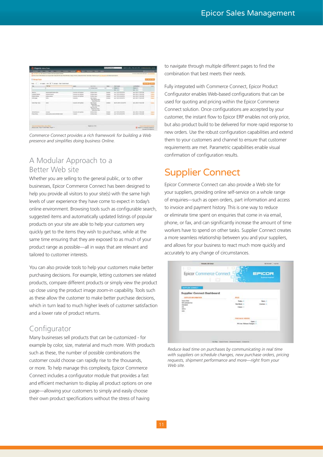| <b>IT derived Prests</b><br><b>Professor Control</b> |                                       |                                                 |                                                                                                                            |          |                              |                                              |                                   | <b>Linksworth</b> |
|------------------------------------------------------|---------------------------------------|-------------------------------------------------|----------------------------------------------------------------------------------------------------------------------------|----------|------------------------------|----------------------------------------------|-----------------------------------|-------------------|
| Fee: 1.0 To                                          | Line: (8) P. Annee Libert belo bed.   |                                                 |                                                                                                                            |          |                              |                                              |                                   |                   |
|                                                      | <b>MAG</b>                            | page 2                                          | <b>BASED</b>                                                                                                               |          | men.                         | <b>The Group</b>                             | <b>LAST BURNIER</b>               |                   |
|                                                      |                                       |                                                 | A LATAS DAL                                                                                                                | <b>W</b> |                              | a marin                                      | <b>Back</b>                       |                   |
|                                                      |                                       |                                                 |                                                                                                                            |          |                              | <b>Section</b>                               | mer in                            |                   |
| dealers in                                           | <b><i>SEARCHER &amp; BASICARD</i></b> | Listati (di spita)                              | <b>SI FARM SALE</b>                                                                                                        |          | <b>STATISTICS</b>            | ART AUGUST STR.                              | And in All Arrest state that      |                   |
| <b><i><u>Listense</u></i></b> Kamar                  | <b><i>SURPRISERS</i></b>              | <b>Entertainment Aprilem</b>                    | <b>William Kings</b>                                                                                                       |          | <b><i><u>STARTER</u></i></b> | An F. Millened an File                       | <b>March, Allen and Automaker</b> |                   |
| <b>Engine Emitted</b>                                | <b><i>BYRINGTON TO</i></b>            | <b>Insurance of Adrian</b>                      | <b>Großen class</b>                                                                                                        |          | <b>Avenue</b>                | A47, S10108 S746                             | Apr 2, \$35 to 711 \$5.100 MW-    |                   |
| <b>CARD &amp; ANNA</b>                               | <b>SALE</b><br>e e                    | Listings                                        | <b>Seni Internati</b><br><b>WAS ARRESTED FOR A</b><br><b><i><u>Instrumental</u></i></b>                                    |          | <b>Alama</b>                 | AAT ASIANAAN                                 | April Ministerior Mc              |                   |
| <b>Indian Page - Acrd</b>                            | <b>Holes</b>                          | 2 country of color                              | <b>Gilber Georgia</b><br><b>Walnut State</b><br>take buying<br><b>Service De</b><br>Detail of the State<br><b>SOUTHERN</b> |          | <b>STARTED</b>               | law 14, joint color at the<br><b>Windows</b> | <b>APILIPATION</b>                |                   |
| <b>Richmond L.</b>                                   | <b>STATISTICS</b>                     | <b><i><u>Scott dente and constitute</u></i></b> | <b>B-R-In Hinda</b>                                                                                                        |          | <b>STATE</b>                 | A 4 P. Ancientile in line                    | Ad is \$500 miles at \$60.        |                   |
|                                                      | STATISTICS AND GROUND AVE             | <b><i><u>Long Art</u></i></b>                   | <b>GRAND FORD</b>                                                                                                          |          | <b>Freeze</b>                | and drivers are                              | are interesting                   |                   |

*Commerce Connect provides a rich framework for building a Web presence and simplifies doing business Online.*

### A Modular Approach to a Better Web site

Whether you are selling to the general public, or to other businesses, Epicor Commerce Connect has been designed to help you provide all visitors to your site(s) with the same high levels of user experience they have come to expect in today's online environment. Browsing tools such as configurable search, suggested items and automatically updated listings of popular products on your site are able to help your customers very quickly get to the items they wish to purchase, while at the same time ensuring that they are exposed to as much of your product range as possible—all in ways that are relevant and tailored to customer interests.

You can also provide tools to help your customers make better purchasing decisions. For example, letting customers see related products, compare different products or simply view the product up close using the product image zoom-in capability. Tools such as these allow the customer to make better purchase decisions, which in turn lead to much higher levels of customer satisfaction and a lower rate of product returns.

### Configurator

Many businesses sell products that can be customized - for example by color, size, material and much more. With products such as these, the number of possible combinations the customer could choose can rapidly rise to the thousands, or more. To help manage this complexity, Epicor Commerce Connect includes a configurator module that provides a fast and efficient mechanism to display all product options on one page—allowing your customers to simply and easily choose their own product specifications without the stress of having

to navigate through multiple different pages to find the combination that best meets their needs.

Fully integrated with Commerce Connect, Epicor Product Configurator enables Web-based configurations that can be used for quoting and pricing within the Epicor Commerce Connect solution. Once configurations are accepted by your customer, the instant flow to Epicor ERP enables not only price, but also product build to be delivered for more rapid response to new orders. Use the robust configuration capabilities and extend them to your customers and channel to ensure that customer requirements are met. Parametric capabilities enable visual confirmation of configuration results.

### Supplier Connect

Epicor Commerce Connect can also provide a Web site for your suppliers, providing online self-service on a whole range of enquiries—such as open orders, part information and access to invoice and payment history. This is one way to reduce or eliminate time spent on enquiries that come in via email, phone, or fax, and can significantly increase the amount of time workers have to spend on other tasks. Supplier Connect creates a more seamless relationship between you and your suppliers, and allows for your business to react much more quickly and accurately to any change of circumstances.



*Reduce lead time on purchases by communicating in real time*  with suppliers on schedule changes, new purchase orders, pricing *requests, shipment performance and more*—*right from your Web site.*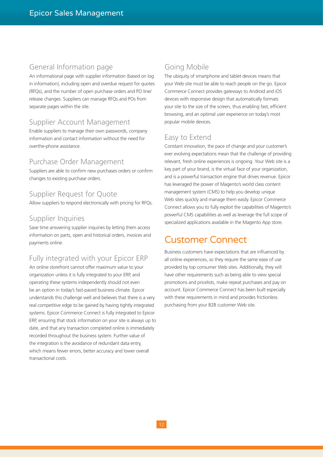#### General Information page

An informational page with supplier information (based on log in information), including open and overdue request for quotes (RFQs), and the number of open purchase orders and PO line/ release changes. Suppliers can manage RFQs and POs from separate pages within the site.

#### Supplier Account Management

Enable suppliers to manage their own passwords, company information and contact information without the need for overthe-phone assistance.

#### Purchase Order Management

Suppliers are able to confirm new purchases orders or confirm changes to existing purchase orders.

### Supplier Request for Quote

Allow suppliers to respond electronically with pricing for RFQs.

#### Supplier Inquiries

Save time answering supplier inquiries by letting them access information on parts, open and historical orders, invoices and payments online.

### Fully integrated with your Epicor ERP

An online storefront cannot offer maximum value to your organization unless it is fully integrated to your ERP, and operating these systems independently should not even be an option in today's fast-paced business climate. Epicor understands this challenge well and believes that there is a very real competitive edge to be gained by having tightly integrated systems. Epicor Commerce Connect is fully integrated to Epicor ERP, ensuring that stock information on your site is always up to date, and that any transaction completed online is immediately recorded throughout the business system. Further value of the integration is the avoidance of redundant data entry, which means fewer errors, better accuracy and lower overall transactional costs.

### Going Mobile

The ubiquity of smartphone and tablet devices means that your Web site must be able to reach people on the go. Epicor Commerce Connect provides gateways to Android and iOS devices with responsive design that automatically formats your site to the size of the screen, thus enabling fast, efficient browsing, and an optimal user experience on today's most popular mobile devices.

### Easy to Extend

Constant innovation, the pace of change and your customer's ever evolving expectations mean that the challenge of providing relevant, fresh online experiences is ongoing. Your Web site is a key part of your brand, is the virtual face of your organization, and is a powerful transaction engine that drives revenue. Epicor has leveraged the power of Magento's world class content management system (CMS) to help you develop unique Web sites quickly and manage them easily. Epicor Commerce Connect allows you to fully exploit the capabilities of Magento's powerful CMS capabilities as well as leverage the full scope of specialized applications available in the Magento App store.

### Customer Connect

Business customers have expectations that are influenced by all online experiences, so they require the same ease of use provided by top consumer Web sites. Additionally, they will have other requirements such as being able to view special promotions and pricelists, make repeat purchases and pay on account. Epicor Commerce Connect has been built especially with these requirements in mind and provides frictionless purchasing from your B2B customer Web site.